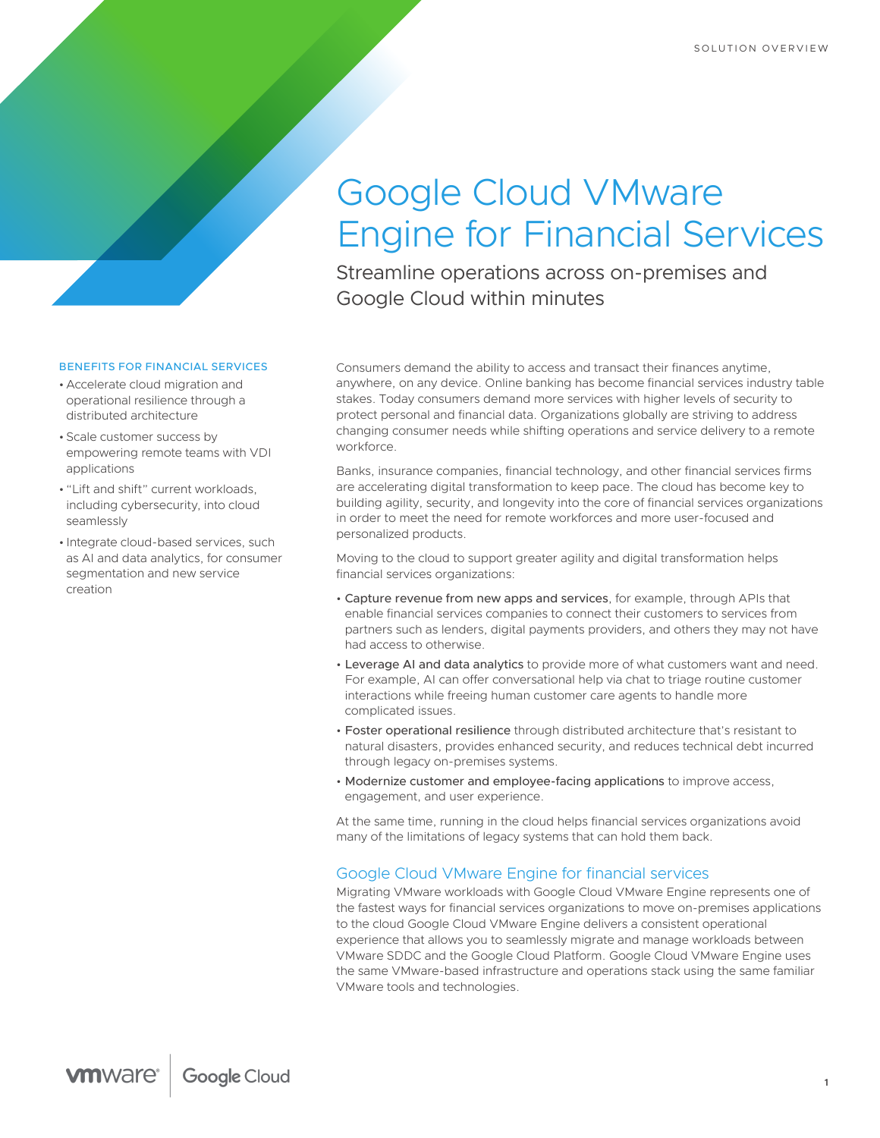# Google Cloud VMware Engine for Financial Services

Streamline operations across on-premises and Google Cloud within minutes

#### BENEFITS FOR FINANCIAL SERVICES

- Accelerate cloud migration and operational resilience through a distributed architecture
- Scale customer success by empowering remote teams with VDI applications
- "Lift and shift" current workloads, including cybersecurity, into cloud seamlessly
- Integrate cloud-based services, such as AI and data analytics, for consumer segmentation and new service creation

Consumers demand the ability to access and transact their finances anytime, anywhere, on any device. Online banking has become financial services industry table stakes. Today consumers demand more services with higher levels of security to protect personal and financial data. Organizations globally are striving to address changing consumer needs while shifting operations and service delivery to a remote workforce.

Banks, insurance companies, financial technology, and other financial services firms are accelerating digital transformation to keep pace. The cloud has become key to building agility, security, and longevity into the core of financial services organizations in order to meet the need for remote workforces and more user-focused and personalized products.

Moving to the cloud to support greater agility and digital transformation helps financial services organizations:

- Capture revenue from new apps and services, for example, through APIs that enable financial services companies to connect their customers to services from partners such as lenders, digital payments providers, and others they may not have had access to otherwise.
- Leverage AI and data analytics to provide more of what customers want and need. For example, AI can offer conversational help via chat to triage routine customer interactions while freeing human customer care agents to handle more complicated issues.
- Foster operational resilience through distributed architecture that's resistant to natural disasters, provides enhanced security, and reduces technical debt incurred through legacy on-premises systems.
- Modernize customer and employee-facing applications to improve access, engagement, and user experience.

At the same time, running in the cloud helps financial services organizations avoid many of the limitations of legacy systems that can hold them back.

## Google Cloud VMware Engine for financial services

Migrating VMware workloads with Google Cloud VMware Engine represents one of the fastest ways for financial services organizations to move on-premises applications to the cloud Google Cloud VMware Engine delivers a consistent operational experience that allows you to seamlessly migrate and manage workloads between VMware SDDC and the Google Cloud Platform. Google Cloud VMware Engine uses the same VMware-based infrastructure and operations stack using the same familiar VMware tools and technologies.